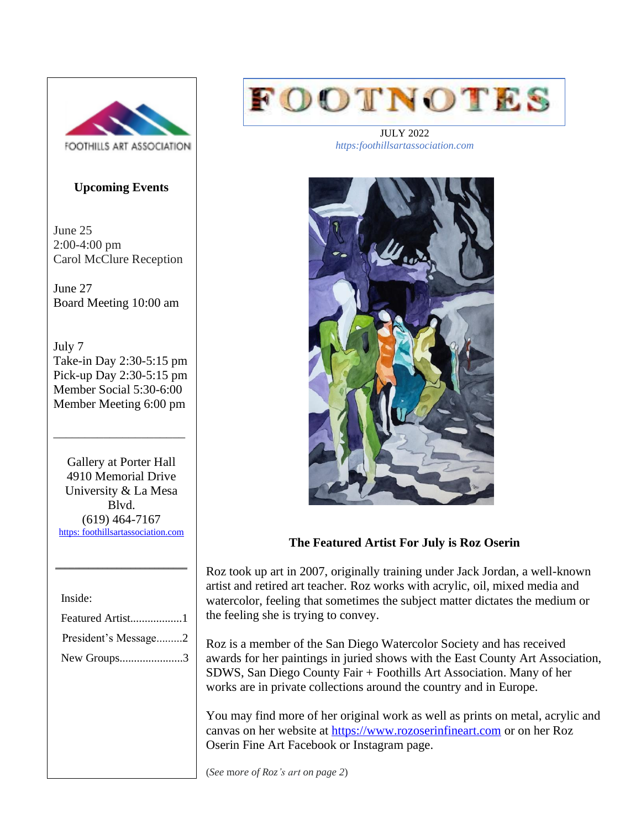

### **Upcoming Events**

June 25 2:00-4:00 pm Carol McClure Reception

June 27 Board Meeting 10:00 am

July 7 Take-in Day 2:30-5:15 pm Pick-up Day 2:30-5:15 pm Member Social 5:30-6:00 Member Meeting 6:00 pm

\_\_\_\_\_\_\_\_\_\_\_\_\_\_\_\_\_\_\_\_\_

Gallery at Porter Hall 4910 Memorial Drive University & La Mesa Blvd. (619) 464-7167 [https: foothillsartassociation.com](https://foothillsartassociation.com/)

 $\mathcal{L}=\mathcal{L}=\mathcal{L}=\mathcal{L}=\mathcal{L}=\mathcal{L}=\mathcal{L}=\mathcal{L}=\mathcal{L}=\mathcal{L}=\mathcal{L}=\mathcal{L}=\mathcal{L}=\mathcal{L}=\mathcal{L}=\mathcal{L}=\mathcal{L}=\mathcal{L}=\mathcal{L}=\mathcal{L}=\mathcal{L}=\mathcal{L}=\mathcal{L}=\mathcal{L}=\mathcal{L}=\mathcal{L}=\mathcal{L}=\mathcal{L}=\mathcal{L}=\mathcal{L}=\mathcal{L}=\mathcal{L}=\mathcal{L}=\mathcal{L}=\mathcal{L}=\mathcal{L}=\mathcal{$ 

Inside:

| Featured Artist1     |
|----------------------|
| President's Message2 |
| New Groups3          |



JULY 2022 *https:foothillsartassociation.com*



### **The Featured Artist For July is Roz Oserin**

Roz took up art in 2007, originally training under Jack Jordan, a well-known artist and retired art teacher. Roz works with acrylic, oil, mixed media and watercolor, feeling that sometimes the subject matter dictates the medium or the feeling she is trying to convey.

Roz is a member of the San Diego Watercolor Society and has received awards for her paintings in juried shows with the East County Art Association, SDWS, San Diego County Fair + Foothills Art Association. Many of her works are in private collections around the country and in Europe.

You may find more of her original work as well as prints on metal, acrylic and canvas on her website at [https://www.rozoserinfineart.com](https://www.rozoserinfineart.com/) or on her Roz Oserin Fine Art Facebook or Instagram page.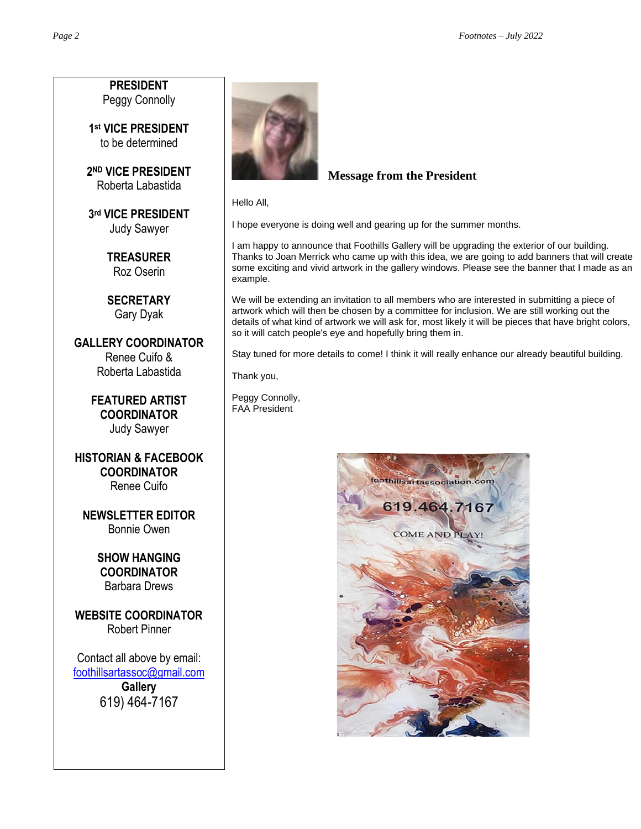**PRESIDENT** Peggy Connolly

**1 st VICE PRESIDENT** to be determined

**2 ND VICE PRESIDENT** Roberta Labastida

**3 rd VICE PRESIDENT** Judy Sawyer

> **TREASURER** Roz Oserin

**SECRETARY** Gary Dyak

**GALLERY COORDINATOR** Renee Cuifo & Roberta Labastida

> **FEATURED ARTIST COORDINATOR** Judy Sawyer

**HISTORIAN & FACEBOOK COORDINATOR** Renee Cuifo

**NEWSLETTER EDITOR** Bonnie Owen

> **SHOW HANGING COORDINATOR** Barbara Drews

**WEBSITE COORDINATOR** Robert Pinner

Contact all above by email: [foothillsartassoc@gmail.com](mailto:foothillsartassoc@gmail.com) **Gallery** 619) 464-7167



# **Message from the President**

Hello All,

I hope everyone is doing well and gearing up for the summer months.

I am happy to announce that Foothills Gallery will be upgrading the exterior of our building. Thanks to Joan Merrick who came up with this idea, we are going to add banners that will create some exciting and vivid artwork in the gallery windows. Please see the banner that I made as an example.

We will be extending an invitation to all members who are interested in submitting a piece of artwork which will then be chosen by a committee for inclusion. We are still working out the details of what kind of artwork we will ask for, most likely it will be pieces that have bright colors, so it will catch people's eye and hopefully bring them in.

Stay tuned for more details to come! I think it will really enhance our already beautiful building.

Thank you,

Peggy Connolly, FAA President

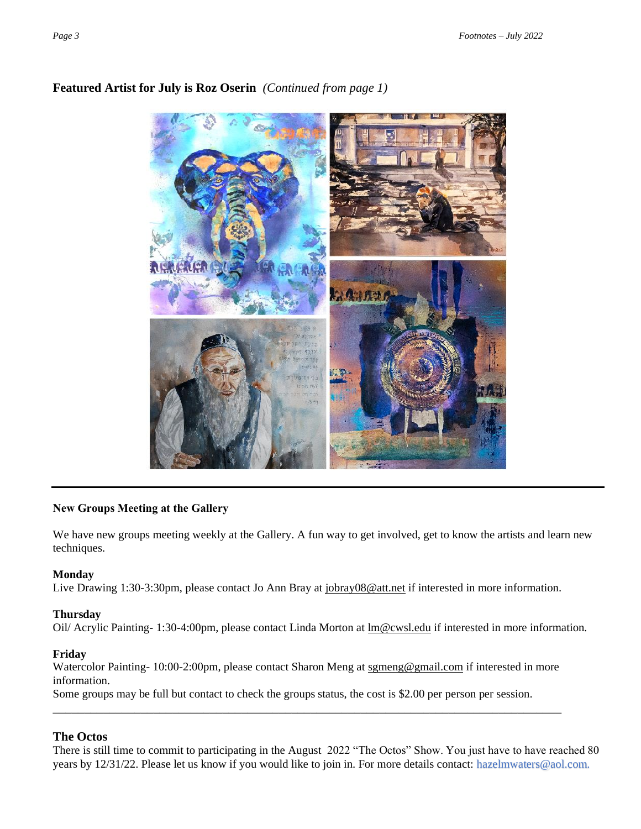

# **Featured Artist for July is Roz Oserin** *(Continued from page 1)*

#### **New Groups Meeting at the Gallery**

We have new groups meeting weekly at the Gallery. A fun way to get involved, get to know the artists and learn new techniques.

#### **Monday**

Live Drawing 1:30-3:30pm, please contact Jo Ann Bray at [jobray08@att.net](mailto:jobray08@att.net) if interested in more information.

#### **Thursday**

Oil/ Acrylic Painting- 1:30-4:00pm, please contact Linda Morton at [lm@cwsl.edu](mailto:lm@cwsl.edu) if interested in more information.

#### **Friday**

Watercolor Painting- 10:00-2:00pm, please contact Sharon Meng at [sgmeng@gmail.com](mailto:sgmeng@gmail.com) if interested in more information.

\_\_\_\_\_\_\_\_\_\_\_\_\_\_\_\_\_\_\_\_\_\_\_\_\_\_\_\_\_\_\_\_\_\_\_\_\_\_\_\_\_\_\_\_\_\_\_\_\_\_\_\_\_\_\_\_\_\_\_\_\_\_\_\_\_\_\_\_\_\_\_\_\_\_\_\_\_\_\_\_\_

Some groups may be full but contact to check the groups status, the cost is \$2.00 per person per session.

### **The Octos**

There is still time to commit to participating in the August 2022 "The Octos" Show. You just have to have reached 80 years by 12/31/22. Please let us know if you would like to join in. For more details contact: [hazelmwaters@aol.com.](mailto:hazelmwaters@aol.com)